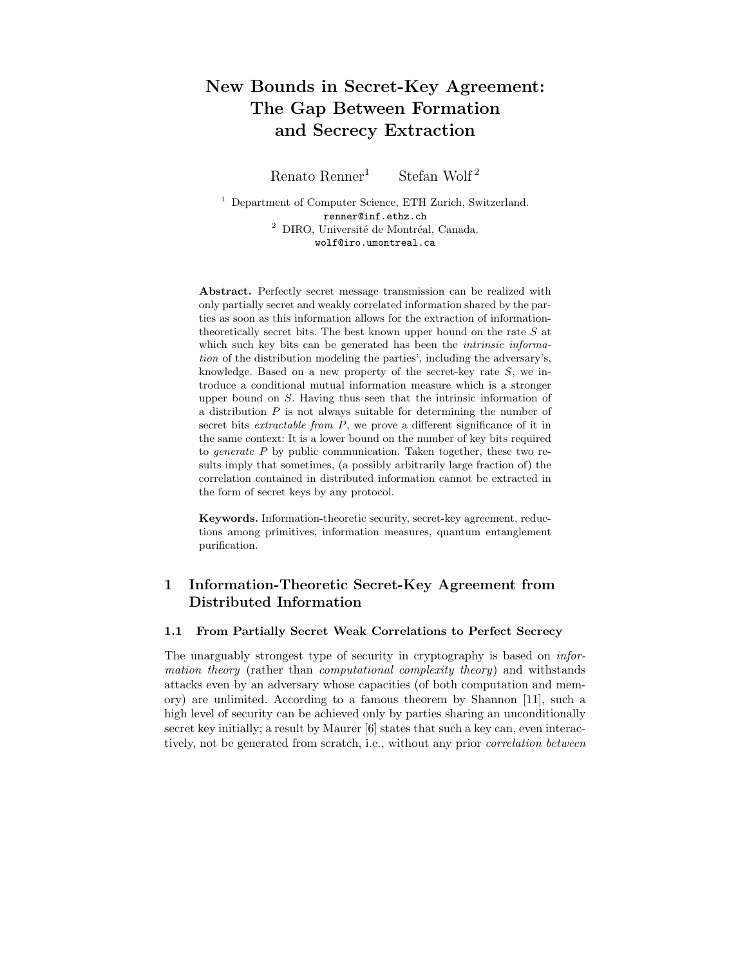# New Bounds in Secret-Key Agreement: The Gap Between Formation and Secrecy Extraction

Renato Renner<sup>1</sup> Stefan Wolf<sup>2</sup>

<sup>1</sup> Department of Computer Science, ETH Zurich, Switzerland. renner@inf.ethz.ch  $^2$  DIRO, Université de Montréal, Canada. wolf@iro.umontreal.ca

Abstract. Perfectly secret message transmission can be realized with only partially secret and weakly correlated information shared by the parties as soon as this information allows for the extraction of informationtheoretically secret bits. The best known upper bound on the rate S at which such key bits can be generated has been the *intrinsic informa*tion of the distribution modeling the parties', including the adversary's, knowledge. Based on a new property of the secret-key rate  $S$ , we introduce a conditional mutual information measure which is a stronger upper bound on S. Having thus seen that the intrinsic information of a distribution  $P$  is not always suitable for determining the number of secret bits *extractable from P*, we prove a different significance of it in the same context: It is a lower bound on the number of key bits required to generate P by public communication. Taken together, these two results imply that sometimes, (a possibly arbitrarily large fraction of) the correlation contained in distributed information cannot be extracted in the form of secret keys by any protocol.

Keywords. Information-theoretic security, secret-key agreement, reductions among primitives, information measures, quantum entanglement purification.

# 1 Information-Theoretic Secret-Key Agreement from Distributed Information

# 1.1 From Partially Secret Weak Correlations to Perfect Secrecy

The unarguably strongest type of security in cryptography is based on *infor*mation theory (rather than *computational complexity theory*) and withstands attacks even by an adversary whose capacities (of both computation and memory) are unlimited. According to a famous theorem by Shannon [11], such a high level of security can be achieved only by parties sharing an unconditionally secret key initially; a result by Maurer [6] states that such a key can, even interactively, not be generated from scratch, i.e., without any prior correlation between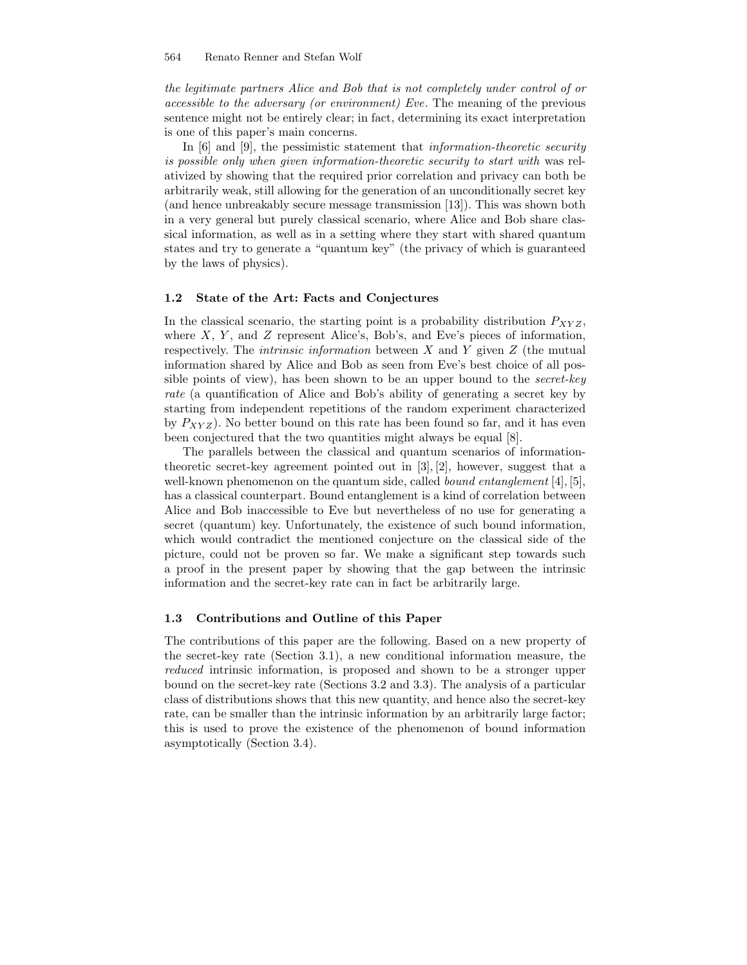the legitimate partners Alice and Bob that is not completely under control of or accessible to the adversary (or environment) Eve. The meaning of the previous sentence might not be entirely clear; in fact, determining its exact interpretation is one of this paper's main concerns.

In [6] and [9], the pessimistic statement that *information-theoretic security* is possible only when given information-theoretic security to start with was relativized by showing that the required prior correlation and privacy can both be arbitrarily weak, still allowing for the generation of an unconditionally secret key (and hence unbreakably secure message transmission [13]). This was shown both in a very general but purely classical scenario, where Alice and Bob share classical information, as well as in a setting where they start with shared quantum states and try to generate a "quantum key" (the privacy of which is guaranteed by the laws of physics).

#### 1.2 State of the Art: Facts and Conjectures

In the classical scenario, the starting point is a probability distribution  $P_{XYZ}$ , where  $X, Y$ , and  $Z$  represent Alice's, Bob's, and Eve's pieces of information, respectively. The *intrinsic information* between X and Y given  $Z$  (the mutual information shared by Alice and Bob as seen from Eve's best choice of all possible points of view), has been shown to be an upper bound to the *secret-key* rate (a quantification of Alice and Bob's ability of generating a secret key by starting from independent repetitions of the random experiment characterized by  $P_{XYZ}$ ). No better bound on this rate has been found so far, and it has even been conjectured that the two quantities might always be equal [8].

The parallels between the classical and quantum scenarios of informationtheoretic secret-key agreement pointed out in  $[3], [2],$  however, suggest that a well-known phenomenon on the quantum side, called *bound entanglement* [4], [5], has a classical counterpart. Bound entanglement is a kind of correlation between Alice and Bob inaccessible to Eve but nevertheless of no use for generating a secret (quantum) key. Unfortunately, the existence of such bound information, which would contradict the mentioned conjecture on the classical side of the picture, could not be proven so far. We make a significant step towards such a proof in the present paper by showing that the gap between the intrinsic information and the secret-key rate can in fact be arbitrarily large.

#### 1.3 Contributions and Outline of this Paper

The contributions of this paper are the following. Based on a new property of the secret-key rate (Section 3.1), a new conditional information measure, the reduced intrinsic information, is proposed and shown to be a stronger upper bound on the secret-key rate (Sections 3.2 and 3.3). The analysis of a particular class of distributions shows that this new quantity, and hence also the secret-key rate, can be smaller than the intrinsic information by an arbitrarily large factor; this is used to prove the existence of the phenomenon of bound information asymptotically (Section 3.4).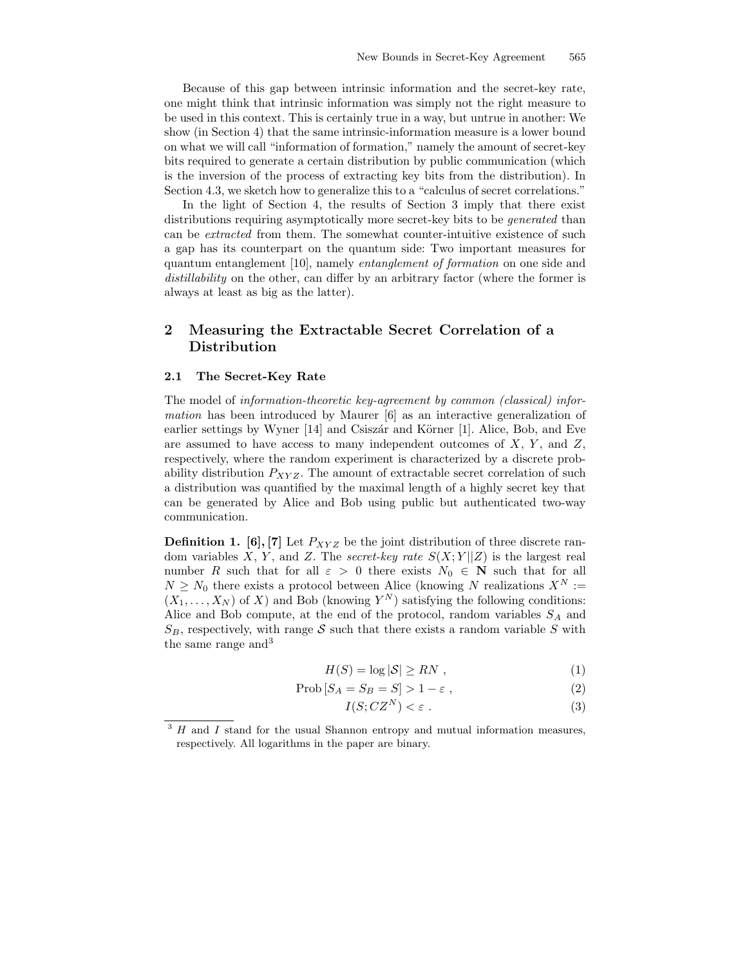Because of this gap between intrinsic information and the secret-key rate, one might think that intrinsic information was simply not the right measure to be used in this context. This is certainly true in a way, but untrue in another: We show (in Section 4) that the same intrinsic-information measure is a lower bound on what we will call "information of formation," namely the amount of secret-key bits required to generate a certain distribution by public communication (which is the inversion of the process of extracting key bits from the distribution). In Section 4.3, we sketch how to generalize this to a "calculus of secret correlations."

In the light of Section 4, the results of Section 3 imply that there exist distributions requiring asymptotically more secret-key bits to be *generated* than can be extracted from them. The somewhat counter-intuitive existence of such a gap has its counterpart on the quantum side: Two important measures for quantum entanglement [10], namely entanglement of formation on one side and distillability on the other, can differ by an arbitrary factor (where the former is always at least as big as the latter).

# 2 Measuring the Extractable Secret Correlation of a Distribution

#### 2.1 The Secret-Key Rate

The model of information-theoretic key-agreement by common (classical) information has been introduced by Maurer [6] as an interactive generalization of earlier settings by Wyner  $[14]$  and Csiszár and Körner  $[1]$ . Alice, Bob, and Eve are assumed to have access to many independent outcomes of  $X$ ,  $Y$ , and  $Z$ , respectively, where the random experiment is characterized by a discrete probability distribution  $P_{XYZ}$ . The amount of extractable secret correlation of such a distribution was quantified by the maximal length of a highly secret key that can be generated by Alice and Bob using public but authenticated two-way communication.

**Definition 1.** [6], [7] Let  $P_{XYZ}$  be the joint distribution of three discrete random variables X, Y, and Z. The secret-key rate  $S(X;Y||Z)$  is the largest real number R such that for all  $\varepsilon > 0$  there exists  $N_0 \in \mathbb{N}$  such that for all  $N \geq N_0$  there exists a protocol between Alice (knowing N realizations  $X^N :=$  $(X_1, \ldots, X_N)$  of X) and Bob (knowing Y<sup>N</sup>) satisfying the following conditions: Alice and Bob compute, at the end of the protocol, random variables  $S_A$  and  $S_B$ , respectively, with range S such that there exists a random variable S with the same range and  $3$ 

$$
H(S) = \log |\mathcal{S}| \ge RN \tag{1}
$$

$$
Prob[S_A = S_B = S] > 1 - \varepsilon , \qquad (2)
$$

$$
I(S; CZ^N) < \varepsilon \tag{3}
$$

 $3$  H and I stand for the usual Shannon entropy and mutual information measures, respectively. All logarithms in the paper are binary.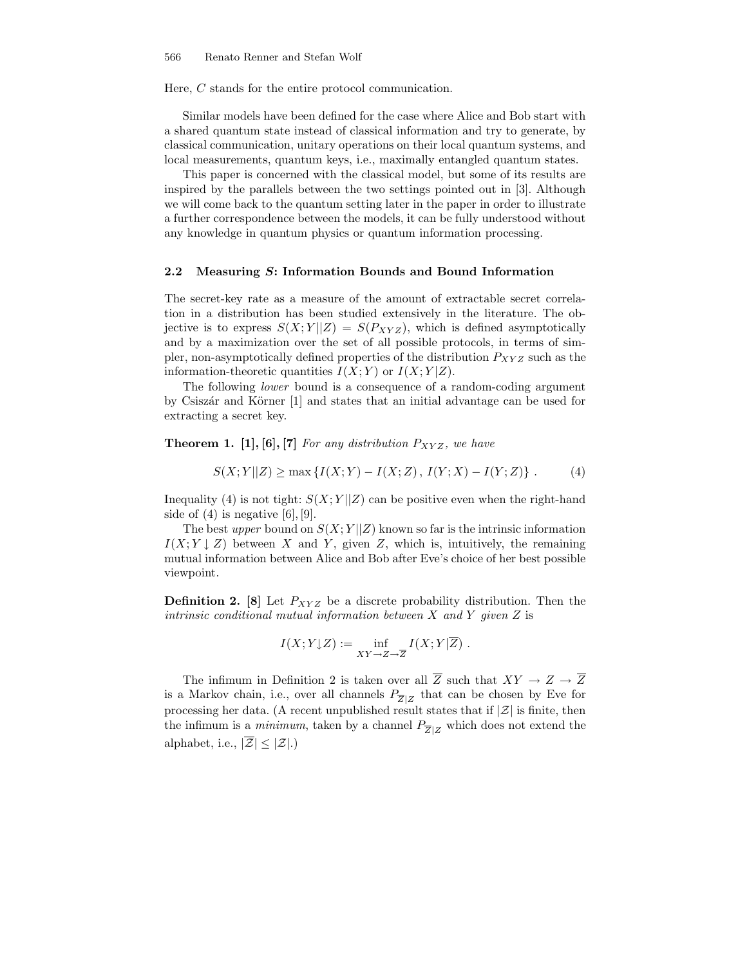Here, C stands for the entire protocol communication.

Similar models have been defined for the case where Alice and Bob start with a shared quantum state instead of classical information and try to generate, by classical communication, unitary operations on their local quantum systems, and local measurements, quantum keys, i.e., maximally entangled quantum states.

This paper is concerned with the classical model, but some of its results are inspired by the parallels between the two settings pointed out in [3]. Although we will come back to the quantum setting later in the paper in order to illustrate a further correspondence between the models, it can be fully understood without any knowledge in quantum physics or quantum information processing.

#### 2.2 Measuring S: Information Bounds and Bound Information

The secret-key rate as a measure of the amount of extractable secret correlation in a distribution has been studied extensively in the literature. The objective is to express  $S(X;Y||Z) = S(P_{XYZ})$ , which is defined asymptotically and by a maximization over the set of all possible protocols, in terms of simpler, non-asymptotically defined properties of the distribution  $P_{XYZ}$  such as the information-theoretic quantities  $I(X;Y)$  or  $I(X;Y|Z)$ .

The following *lower* bound is a consequence of a random-coding argument by Csiszár and Körner [1] and states that an initial advantage can be used for extracting a secret key.

**Theorem 1.** [1], [6], [7] For any distribution  $P_{XYZ}$ , we have

$$
S(X;Y||Z) \ge \max \{ I(X;Y) - I(X;Z), I(Y;X) - I(Y;Z) \} .
$$
 (4)

Inequality (4) is not tight:  $S(X;Y||Z)$  can be positive even when the right-hand side of  $(4)$  is negative  $[6]$ ,  $[9]$ .

The best upper bound on  $S(X;Y||Z)$  known so far is the intrinsic information  $I(X; Y \downarrow Z)$  between X and Y, given Z, which is, intuitively, the remaining mutual information between Alice and Bob after Eve's choice of her best possible viewpoint.

**Definition 2.** [8] Let  $P_{XYZ}$  be a discrete probability distribution. Then the intrinsic conditional mutual information between  $X$  and  $Y$  given  $Z$  is

$$
I(X;Y\!\!\downarrow\! Z):=\inf_{XY\to Z\to \overline{Z}} I(X;Y|\overline{Z})\ .
$$

The infimum in Definition 2 is taken over all  $\overline{Z}$  such that  $XY \rightarrow Z \rightarrow \overline{Z}$ is a Markov chain, i.e., over all channels  $P_{\overline{Z}|Z}$  that can be chosen by Eve for processing her data. (A recent unpublished result states that if  $|\mathcal{Z}|$  is finite, then the infimum is a *minimum*, taken by a channel  $P_{\overline{Z}|Z}$  which does not extend the alphabet, i.e.,  $|\overline{\mathcal{Z}}| \leq |\mathcal{Z}|$ .)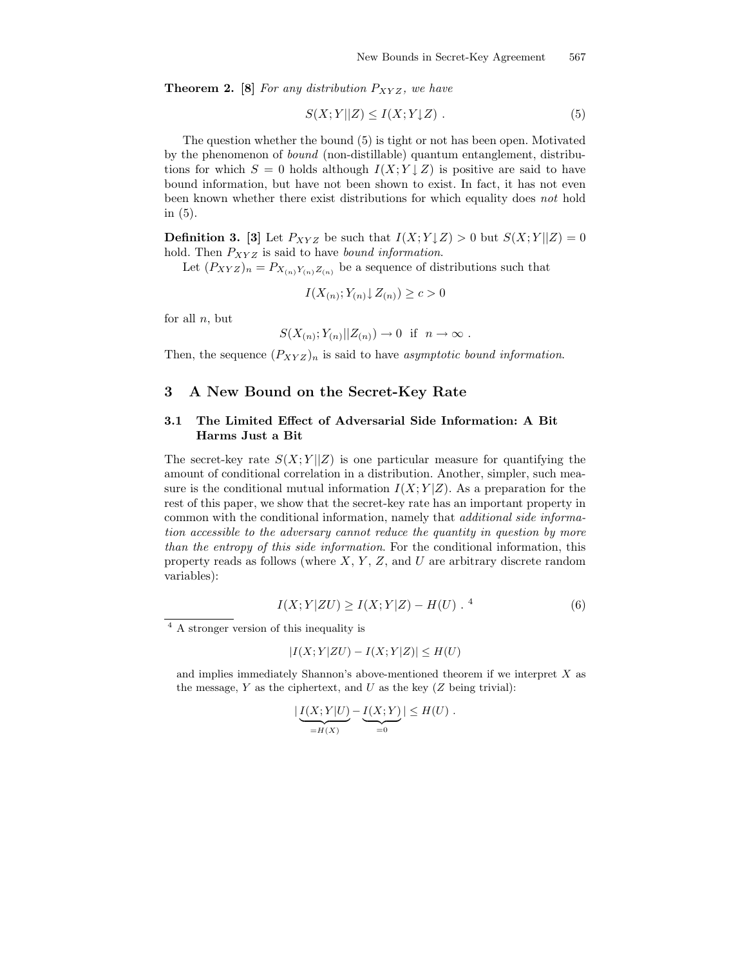**Theorem 2.** [8] For any distribution  $P_{XYZ}$ , we have

$$
S(X;Y||Z) \le I(X;Y\downarrow Z) . \tag{5}
$$

The question whether the bound (5) is tight or not has been open. Motivated by the phenomenon of bound (non-distillable) quantum entanglement, distributions for which  $S = 0$  holds although  $I(X; Y \downarrow Z)$  is positive are said to have bound information, but have not been shown to exist. In fact, it has not even been known whether there exist distributions for which equality does not hold in (5).

**Definition 3.** [3] Let  $P_{XYZ}$  be such that  $I(X;Y\downarrow Z) > 0$  but  $S(X;Y||Z) = 0$ hold. Then  $P_{XYZ}$  is said to have bound information.

Let  $(P_{XYZ})_n = P_{X_{(n)}Y_{(n)}Z_{(n)}}$  be a sequence of distributions such that

$$
I(X_{(n)}; Y_{(n)} \downarrow Z_{(n)}) \ge c > 0
$$

for all  $n$ , but

$$
S(X_{(n)}; Y_{(n)}||Z_{(n)}) \to 0 \text{ if } n \to \infty.
$$

Then, the sequence  $(P_{XYZ})_n$  is said to have asymptotic bound information.

### 3 A New Bound on the Secret-Key Rate

### 3.1 The Limited Effect of Adversarial Side Information: A Bit Harms Just a Bit

The secret-key rate  $S(X;Y||Z)$  is one particular measure for quantifying the amount of conditional correlation in a distribution. Another, simpler, such measure is the conditional mutual information  $I(X; Y|Z)$ . As a preparation for the rest of this paper, we show that the secret-key rate has an important property in common with the conditional information, namely that additional side information accessible to the adversary cannot reduce the quantity in question by more than the entropy of this side information. For the conditional information, this property reads as follows (where  $X, Y, Z$ , and  $U$  are arbitrary discrete random variables):

$$
I(X; Y|ZU) \ge I(X; Y|Z) - H(U) .4
$$
 (6)

$$
|I(X;Y|ZU) - I(X;Y|Z)| \leq H(U)
$$

and implies immediately Shannon's above-mentioned theorem if we interpret X as the message,  $Y$  as the ciphertext, and  $U$  as the key  $(Z$  being trivial):

$$
\left|\underbrace{I(X;Y|U)}_{=H(X)} - \underbrace{I(X;Y)}_{=0}\right| \leq H(U) .
$$

<sup>4</sup> A stronger version of this inequality is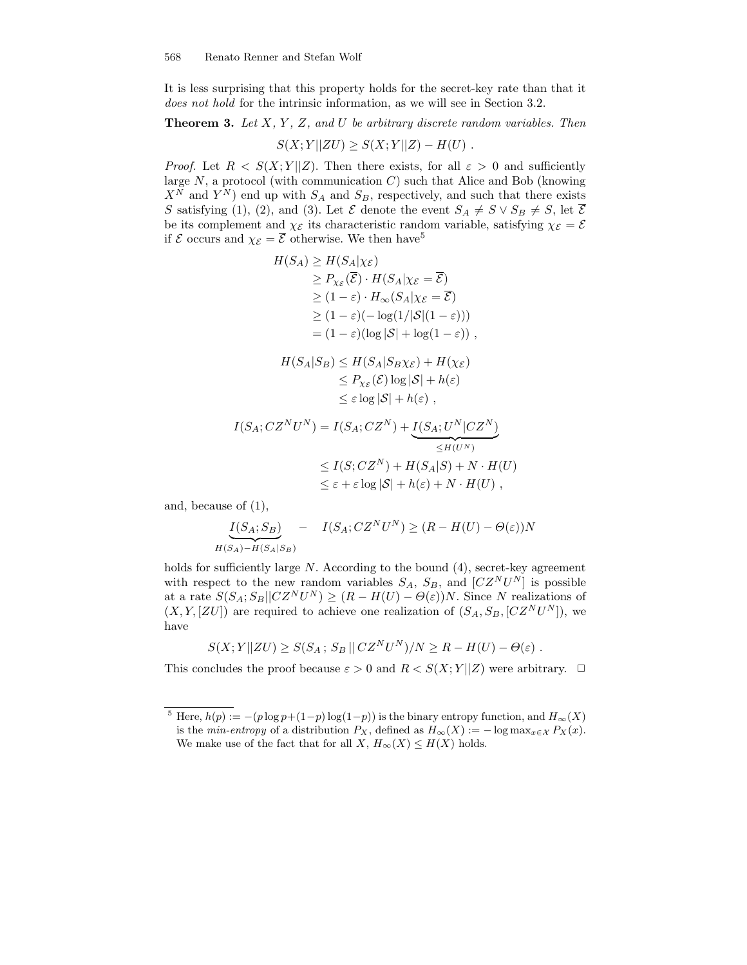It is less surprising that this property holds for the secret-key rate than that it does not hold for the intrinsic information, as we will see in Section 3.2.

**Theorem 3.** Let  $X$ ,  $Y$ ,  $Z$ , and  $U$  be arbitrary discrete random variables. Then

$$
S(X;Y||ZU) \geq S(X;Y||Z) - H(U) .
$$

*Proof.* Let  $R < S(X;Y||Z)$ . Then there exists, for all  $\varepsilon > 0$  and sufficiently large  $N$ , a protocol (with communication  $C$ ) such that Alice and Bob (knowing  $X^N$  and  $Y^N$ ) end up with  $S_A$  and  $S_B$ , respectively, and such that there exists S satisfying (1), (2), and (3). Let  $\mathcal E$  denote the event  $S_A \neq S \vee S_B \neq S$ , let  $\overline{\mathcal E}$ be its complement and  $\chi_{\mathcal{E}}$  its characteristic random variable, satisfying  $\chi_{\mathcal{E}} = \mathcal{E}$ if  $\mathcal{E}$  occurs and  $\chi_{\mathcal{E}} = \overline{\mathcal{E}}$  otherwise. We then have<sup>5</sup>

$$
H(S_A) \ge H(S_A|\chi_{\mathcal{E}})
$$
  
\n
$$
\ge P_{\chi_{\mathcal{E}}}(\overline{\mathcal{E}}) \cdot H(S_A|\chi_{\mathcal{E}} = \overline{\mathcal{E}})
$$
  
\n
$$
\ge (1 - \varepsilon) \cdot H_{\infty}(S_A|\chi_{\mathcal{E}} = \overline{\mathcal{E}})
$$
  
\n
$$
\ge (1 - \varepsilon)(-\log(1/|\mathcal{S}|(1 - \varepsilon)))
$$
  
\n
$$
= (1 - \varepsilon)(\log|\mathcal{S}| + \log(1 - \varepsilon)),
$$
  
\n
$$
H(S_A|S_B) \le H(S_A|S_B\chi_{\mathcal{E}}) + H(\chi_{\mathcal{E}})
$$
  
\n
$$
\le P_{\chi_{\mathcal{E}}}(\mathcal{E}) \log |\mathcal{S}| + h(\varepsilon)
$$
  
\n
$$
\le \varepsilon \log |\mathcal{S}| + h(\varepsilon),
$$
  
\n
$$
I(S_A; CZ^NU^N) = I(S_A; CZ^N) + \underbrace{I(S_A; U^N|CZ^N)}_{\le H(U^N)}
$$
  
\n
$$
\le I(S; CZ^N) + H(S_A|S) + N \cdot H(U)
$$
  
\n
$$
\le \varepsilon + \varepsilon \log |\mathcal{S}| + h(\varepsilon) + N \cdot H(U),
$$

and, because of (1),

$$
\underbrace{I(S_A; S_B)}_{H(S_A) - H(S_A|S_B)} - I(S_A; CZ^N U^N) \ge (R - H(U) - \Theta(\varepsilon))N
$$

holds for sufficiently large  $N$ . According to the bound  $(4)$ , secret-key agreement with respect to the new random variables  $S_A$ ,  $S_B$ , and  $\left[ C Z^N U^N \right]$  is possible at a rate  $S(S_A; S_B||CZ^NU^N) \geq (R - H(U) - \Theta(\varepsilon))N$ . Since N realizations of  $(X, Y, [ZU])$  are required to achieve one realization of  $(S_A, S_B, [C Z^N U^N])$ , we have

$$
S(X;Y||ZU) \geq S(S_A; S_B || CZ^N U^N)/N \geq R - H(U) - \Theta(\varepsilon) .
$$

This concludes the proof because  $\varepsilon > 0$  and  $R < S(X;Y||Z)$  were arbitrary.  $\Box$ 

<sup>&</sup>lt;sup>5</sup> Here,  $h(p) := -(p \log p + (1-p) \log(1-p))$  is the binary entropy function, and  $H_{\infty}(X)$ is the min-entropy of a distribution  $P_X$ , defined as  $H_{\infty}(X) := -\log \max_{x \in \mathcal{X}} P_X(x)$ . We make use of the fact that for all  $X, H_{\infty}(X) \leq H(X)$  holds.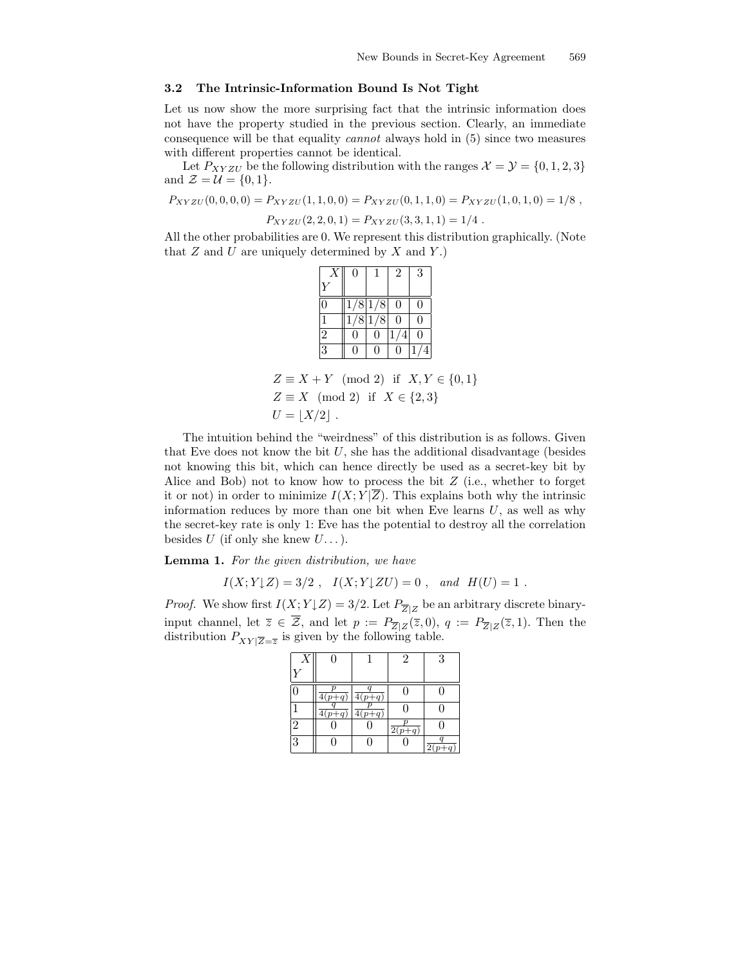#### 3.2 The Intrinsic-Information Bound Is Not Tight

Let us now show the more surprising fact that the intrinsic information does not have the property studied in the previous section. Clearly, an immediate consequence will be that equality cannot always hold in (5) since two measures with different properties cannot be identical.

Let  $P_{XYZU}$  be the following distribution with the ranges  $\mathcal{X} = \mathcal{Y} = \{0, 1, 2, 3\}$ and  $\mathcal{Z} = \mathcal{U} = \{0, 1\}.$ 

$$
P_{XYZU}(0,0,0,0) = P_{XYZU}(1,1,0,0) = P_{XYZU}(0,1,1,0) = P_{XYZU}(1,0,1,0) = 1/8,
$$
  

$$
P_{XYZU}(2,2,0,1) = P_{XYZU}(3,3,1,1) = 1/4.
$$

All the other probabilities are 0. We represent this distribution graphically. (Note that  $Z$  and  $U$  are uniquely determined by  $X$  and  $Y$ .)

| Х              | 0  |                  | $\overline{2}$ | 3 |
|----------------|----|------------------|----------------|---|
|                |    |                  |                |   |
|                |    | $\sqrt{81/8}$    | $\theta$       | O |
|                | 8  | $\overline{1/8}$ | $\theta$       | 0 |
| $\overline{2}$ | O. | $\Omega$         |                | 0 |
| 3              |    | 0                | 0              |   |

$$
Z \equiv X + Y \pmod{2} \text{ if } X, Y \in \{0, 1\}
$$
  

$$
Z \equiv X \pmod{2} \text{ if } X \in \{2, 3\}
$$
  

$$
U = \lfloor X/2 \rfloor.
$$

The intuition behind the "weirdness" of this distribution is as follows. Given that Eve does not know the bit  $U$ , she has the additional disadvantage (besides not knowing this bit, which can hence directly be used as a secret-key bit by Alice and Bob) not to know how to process the bit Z (i.e., whether to forget it or not) in order to minimize  $I(X;Y|\overline{Z})$ . This explains both why the intrinsic information reduces by more than one bit when Eve learns  $U$ , as well as why the secret-key rate is only 1: Eve has the potential to destroy all the correlation besides U (if only she knew  $U$ ...).

Lemma 1. For the given distribution, we have

$$
I(X;Y\downarrow Z)=3/2\ ,\ \ I(X;Y\downarrow ZU)=0\ ,\ \ and\ \ H(U)=1\ .
$$

*Proof.* We show first  $I(X;Y\downarrow Z) = 3/2$ . Let  $P_{\overline{Z}|Z}$  be an arbitrary discrete binaryinput channel, let  $\overline{z} \in \mathcal{Z}$ , and let  $p := P_{\overline{Z}|Z}(\overline{z}, 0)$ ,  $q := P_{\overline{Z}|Z}(\overline{z}, 1)$ . Then the distribution  $P_{XY|\overline{Z}=\overline{z}}$  is given by the following table.

| $\boldsymbol{X}$ | 0 | $\overline{2}$ | 3 |
|------------------|---|----------------|---|
|                  |   |                |   |
|                  |   | $\theta$       |   |
|                  |   | O              | ∩ |
| $\overline{2}$   |   |                |   |
| 3                |   | $\overline{0}$ |   |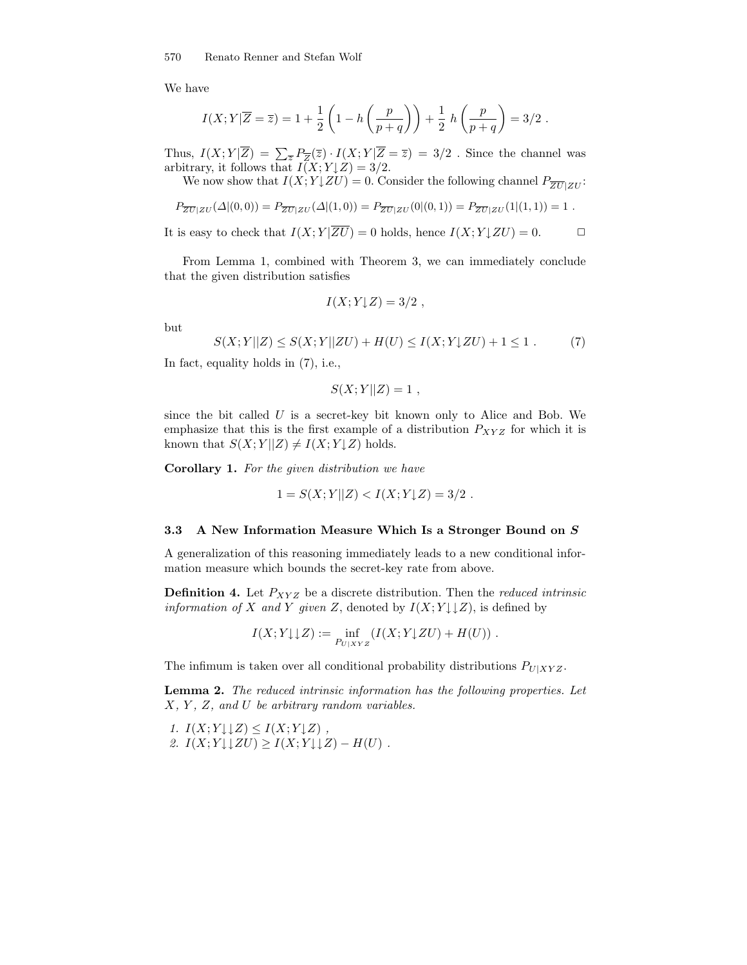We have

$$
I(X;Y|\overline{Z} = \overline{z}) = 1 + \frac{1}{2} \left( 1 - h \left( \frac{p}{p+q} \right) \right) + \frac{1}{2} h \left( \frac{p}{p+q} \right) = 3/2.
$$

Thus,  $I(X; Y|\overline{Z}) = \sum_{\overline{z}} P_{\overline{Z}}(\overline{z}) \cdot I(X; Y|\overline{Z} = \overline{z}) = 3/2$ . Since the channel was arbitrary, it follows that  $I(X; Y \downarrow Z) = 3/2$ .

We now show that  $I(X;Y\downarrow ZU) = 0$ . Consider the following channel  $P_{\overline{ZU}|ZU}$ :

$$
P_{\overline{ZU}}|_{ZU}(\Delta|(0,0)) = P_{\overline{ZU}}|_{ZU}(\Delta|(1,0)) = P_{\overline{ZU}}|_{ZU}(0|(0,1)) = P_{\overline{ZU}}|_{ZU}(1|(1,1)) = 1.
$$

It is easy to check that  $I(X; Y|\overline{ZU}) = 0$  holds, hence  $I(X; Y \downarrow ZU) = 0$ .

From Lemma 1, combined with Theorem 3, we can immediately conclude that the given distribution satisfies

$$
I(X;Y\downarrow Z)=3/2,
$$

but

$$
S(X;Y||Z) \le S(X;Y||ZU) + H(U) \le I(X;Y\downarrow ZU) + 1 \le 1.
$$
 (7)

In fact, equality holds in (7), i.e.,

$$
S(X;Y||Z) = 1,
$$

since the bit called  $U$  is a secret-key bit known only to Alice and Bob. We emphasize that this is the first example of a distribution  $P_{XYZ}$  for which it is known that  $S(X; Y||Z) \neq I(X; Y \downarrow Z)$  holds.

Corollary 1. For the given distribution we have

$$
1 = S(X;Y||Z) < I(X;Y\downarrow Z) = 3/2.
$$

#### 3.3 A New Information Measure Which Is a Stronger Bound on S

A generalization of this reasoning immediately leads to a new conditional information measure which bounds the secret-key rate from above.

**Definition 4.** Let  $P_{XYZ}$  be a discrete distribution. Then the *reduced intrinsic information of* X and Y given Z, denoted by  $I(X;Y\downarrow\downarrow Z)$ , is defined by

$$
I(X;Y{\downarrow\downarrow} Z):=\inf_{P_{U|XYZ}}(I(X;Y{\downarrow} ZU)+H(U))\ .
$$

The infimum is taken over all conditional probability distributions  $P_{U|XYZ}$ .

Lemma 2. The reduced intrinsic information has the following properties. Let  $X, Y, Z, and U$  be arbitrary random variables.

1.  $I(X; Y \downarrow Z) \leq I(X; Y \downarrow Z)$ , 2.  $I(X; Y \downarrow \downarrow ZU) \geq I(X; Y \downarrow \downarrow Z) - H(U)$ .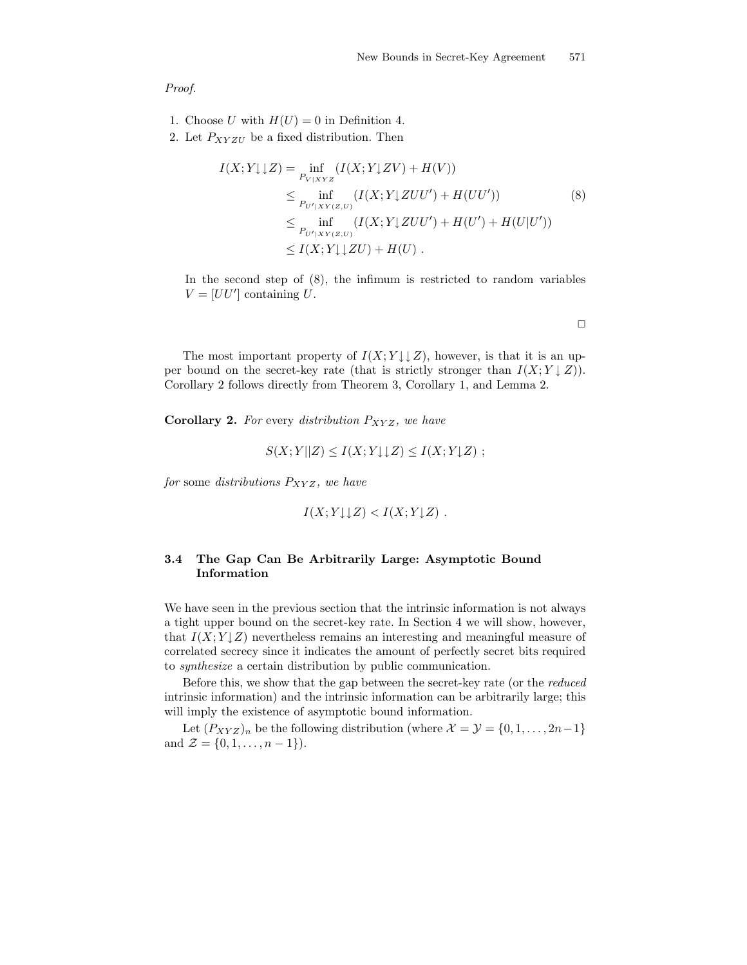#### Proof.

- 1. Choose U with  $H(U) = 0$  in Definition 4.
- 2. Let  $P_{XYZU}$  be a fixed distribution. Then

$$
I(X;Y\downarrow\downarrow Z) = \inf_{P_{V|XYZ}} (I(X;Y\downarrow ZV) + H(V))
$$
  
\n
$$
\leq \inf_{P_{U'|XYZ(Z,U)}} (I(X;Y\downarrow ZUU') + H(UU'))
$$
  
\n
$$
\leq \inf_{P_{U'|XYZ(Z,U)}} (I(X;Y\downarrow ZUU') + H(U') + H(U|U'))
$$
  
\n
$$
\leq I(X;Y\downarrow\downarrow ZU) + H(U) .
$$
 (8)

In the second step of  $(8)$ , the infimum is restricted to random variables  $V = [UU']$  containing U.

 $\Box$ 

The most important property of  $I(X; Y \downarrow \downarrow Z)$ , however, is that it is an upper bound on the secret-key rate (that is strictly stronger than  $I(X; Y \downarrow Z)$ ). Corollary 2 follows directly from Theorem 3, Corollary 1, and Lemma 2.

Corollary 2. For every distribution  $P_{XYZ}$ , we have

$$
S(X;Y||Z) \le I(X;Y\downarrow\downarrow Z) \le I(X;Y\downarrow Z) ;
$$

for some distributions  $P_{XYZ}$ , we have

$$
I(X;Y\!\!\downarrow\!\!\downarrow\!Z)
$$

# 3.4 The Gap Can Be Arbitrarily Large: Asymptotic Bound Information

We have seen in the previous section that the intrinsic information is not always a tight upper bound on the secret-key rate. In Section 4 we will show, however, that  $I(X; Y \downarrow Z)$  nevertheless remains an interesting and meaningful measure of correlated secrecy since it indicates the amount of perfectly secret bits required to synthesize a certain distribution by public communication.

Before this, we show that the gap between the secret-key rate (or the reduced intrinsic information) and the intrinsic information can be arbitrarily large; this will imply the existence of asymptotic bound information.

Let  $(P_{XYZ})_n$  be the following distribution (where  $\mathcal{X} = \mathcal{Y} = \{0, 1, \ldots, 2n-1\}$ and  $\mathcal{Z} = \{0, 1, \ldots, n-1\}$ .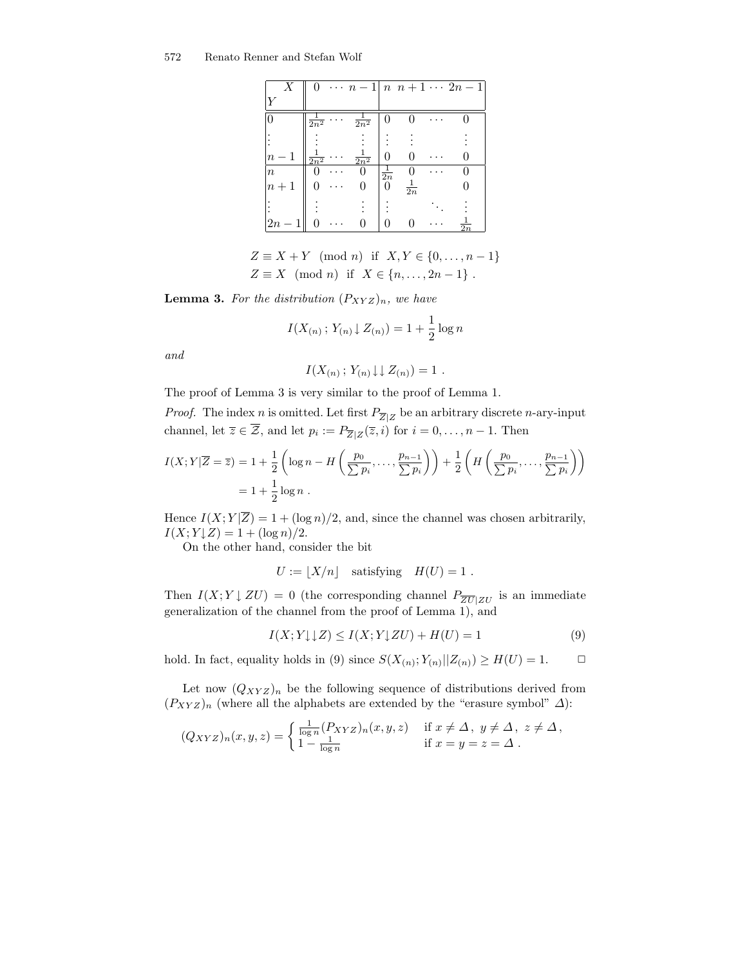| Х                      | 0                |                  |              |              | $\cdots$ $n-1$ $n \cdot n+1 \cdots 2n-1$ |
|------------------------|------------------|------------------|--------------|--------------|------------------------------------------|
|                        |                  |                  |              |              |                                          |
| $\Omega$               | $2n^2$           | $\frac{1}{2n^2}$ |              |              |                                          |
|                        |                  |                  |              |              |                                          |
| -1<br>$\boldsymbol{n}$ | $\frac{1}{2n^2}$ | $\frac{1}{2n^2}$ |              |              |                                          |
| $\,n$                  |                  | O                | $rac{1}{2n}$ |              |                                          |
| $n+1$                  |                  |                  | 0            | $rac{1}{2n}$ |                                          |
|                        |                  |                  |              |              |                                          |
| 2n                     |                  |                  |              |              | 2n                                       |

 $Z \equiv X + Y \pmod{n}$  if  $X, Y \in \{0, ..., n-1\}$  $Z \equiv X \pmod{n}$  if  $X \in \{n, ..., 2n-1\}$ .

**Lemma 3.** For the distribution  $(P_{XYZ})_n$ , we have

$$
I(X_{(n)}; Y_{(n)} \downarrow Z_{(n)}) = 1 + \frac{1}{2} \log n
$$

and

$$
I(X_{(n)}; Y_{(n)}\downarrow\downarrow Z_{(n)})=1.
$$

The proof of Lemma 3 is very similar to the proof of Lemma 1.

*Proof.* The index *n* is omitted. Let first  $P_{\overline{Z}|Z}$  be an arbitrary discrete *n*-ary-input channel, let  $\overline{z} \in \mathcal{Z}$ , and let  $p_i := P_{\overline{Z} | Z}(\overline{z}, i)$  for  $i = 0, \ldots, n - 1$ . Then

$$
I(X;Y|\overline{Z}=\overline{z})=1+\frac{1}{2}\left(\log n-H\left(\frac{p_0}{\sum p_i},\ldots,\frac{p_{n-1}}{\sum p_i}\right)\right)+\frac{1}{2}\left(H\left(\frac{p_0}{\sum p_i},\ldots,\frac{p_{n-1}}{\sum p_i}\right)\right)
$$

$$
=1+\frac{1}{2}\log n.
$$

Hence  $I(X; Y|\overline{Z}) = 1 + (\log n)/2$ , and, since the channel was chosen arbitrarily,  $I(X; Y \, \cup \, Z) = 1 + (\log n)/2.$ 

On the other hand, consider the bit

$$
U := \lfloor X/n \rfloor \quad \text{satisfying} \quad H(U) = 1 \ .
$$

Then  $I(X; Y \downarrow ZU) = 0$  (the corresponding channel  $P_{\overline{ZU}|ZU}$  is an immediate generalization of the channel from the proof of Lemma 1), and

$$
I(X;Y \downarrow \downarrow Z) \le I(X;Y \downarrow ZU) + H(U) = 1
$$
\n<sup>(9)</sup>

hold. In fact, equality holds in (9) since  $S(X_{(n)}; Y_{(n)}||Z_{(n)}) \ge H(U) = 1.$ 

Let now  $(Q_{XYZ})_n$  be the following sequence of distributions derived from  $(P_{XYZ})_n$  (where all the alphabets are extended by the "erasure symbol"  $\Delta$ ):

$$
(Q_{XYZ})_n(x,y,z) = \begin{cases} \frac{1}{\log n}(P_{XYZ})_n(x,y,z) & \text{if } x \neq \Delta, y \neq \Delta, z \neq \Delta, \\ 1 - \frac{1}{\log n} & \text{if } x = y = z = \Delta. \end{cases}
$$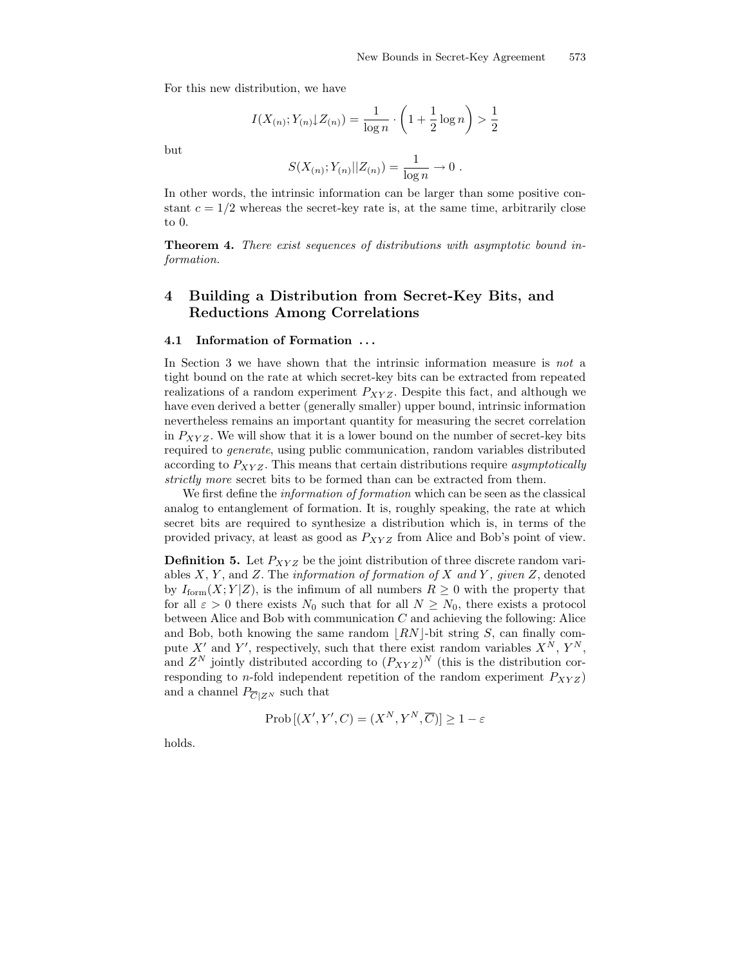For this new distribution, we have

$$
I(X_{(n)}; Y_{(n)} \downarrow Z_{(n)}) = \frac{1}{\log n} \cdot \left(1 + \frac{1}{2} \log n\right) > \frac{1}{2}
$$

but

$$
S(X_{(n)}; Y_{(n)}||Z_{(n)}) = \frac{1}{\log n} \to 0.
$$

In other words, the intrinsic information can be larger than some positive constant  $c = 1/2$  whereas the secret-key rate is, at the same time, arbitrarily close to 0.

**Theorem 4.** There exist sequences of distributions with asymptotic bound information.

# 4 Building a Distribution from Secret-Key Bits, and Reductions Among Correlations

#### 4.1 Information of Formation . . .

In Section 3 we have shown that the intrinsic information measure is not a tight bound on the rate at which secret-key bits can be extracted from repeated realizations of a random experiment  $P_{XYZ}$ . Despite this fact, and although we have even derived a better (generally smaller) upper bound, intrinsic information nevertheless remains an important quantity for measuring the secret correlation in  $P_{XYZ}$ . We will show that it is a lower bound on the number of secret-key bits required to generate, using public communication, random variables distributed according to  $P_{XYZ}$ . This means that certain distributions require asymptotically strictly more secret bits to be formed than can be extracted from them.

We first define the *information of formation* which can be seen as the classical analog to entanglement of formation. It is, roughly speaking, the rate at which secret bits are required to synthesize a distribution which is, in terms of the provided privacy, at least as good as  $P_{XYZ}$  from Alice and Bob's point of view.

**Definition 5.** Let  $P_{XYZ}$  be the joint distribution of three discrete random variables  $X, Y$ , and  $Z$ . The *information of formation of*  $X$  and  $Y$ , given  $Z$ , denoted by  $I_{\text{form}}(X;Y|Z)$ , is the infimum of all numbers  $R \geq 0$  with the property that for all  $\varepsilon > 0$  there exists  $N_0$  such that for all  $N \ge N_0$ , there exists a protocol between Alice and Bob with communication  $C$  and achieving the following: Alice and Bob, both knowing the same random  $\lfloor RN \rfloor$ -bit string S, can finally compute X' and Y', respectively, such that there exist random variables  $X^N$ ,  $Y^N$ , and  $Z^N$  jointly distributed according to  $(P_{XYZ})^N$  (this is the distribution corresponding to *n*-fold independent repetition of the random experiment  $P_{XYZ}$ ) and a channel  $P_{\overline{C}|Z^N}$  such that

$$
Prob [(X', Y', C) = (X^N, Y^N, \overline{C})] \ge 1 - \varepsilon
$$

holds.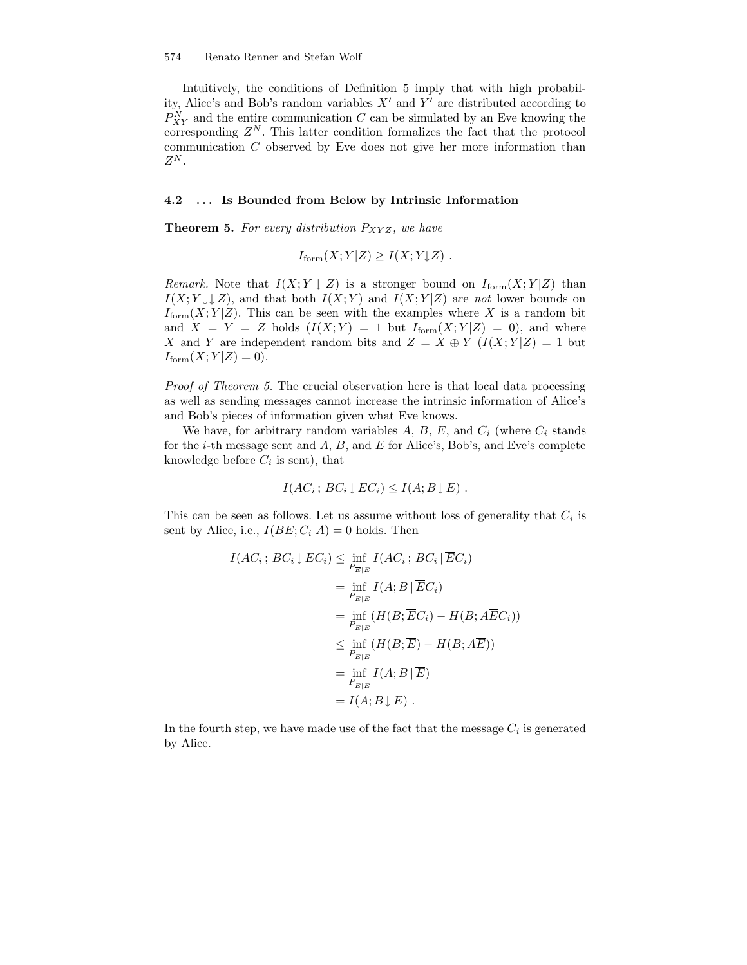#### 574 Renato Renner and Stefan Wolf

Intuitively, the conditions of Definition 5 imply that with high probability, Alice's and Bob's random variables  $X'$  and  $Y'$  are distributed according to  $P_{XY}^N$  and the entire communication C can be simulated by an Eve knowing the corresponding  $Z^N$ . This latter condition formalizes the fact that the protocol communication C observed by Eve does not give her more information than  $Z^N$ .

#### 4.2 . . . Is Bounded from Below by Intrinsic Information

**Theorem 5.** For every distribution  $P_{XYZ}$ , we have

$$
I_{\text{form}}(X;Y|Z) \ge I(X;Y\downarrow Z) .
$$

Remark. Note that  $I(X; Y \downarrow Z)$  is a stronger bound on  $I_{\text{form}}(X; Y|Z)$  than  $I(X; Y \downarrow \downarrow Z)$ , and that both  $I(X; Y)$  and  $I(X; Y|Z)$  are not lower bounds on  $I_{\text{form}}(X;Y|Z)$ . This can be seen with the examples where X is a random bit and  $X = Y = Z$  holds  $(I(X; Y) = 1$  but  $I_{form}(X; Y|Z) = 0$ , and where X and Y are independent random bits and  $Z = X \oplus Y$   $(I(X; Y|Z) = 1$  but  $I_{\text{form}}(X;Y|Z) = 0$ .

Proof of Theorem 5. The crucial observation here is that local data processing as well as sending messages cannot increase the intrinsic information of Alice's and Bob's pieces of information given what Eve knows.

We have, for arbitrary random variables  $A, B, E$ , and  $C_i$  (where  $C_i$  stands for the *i*-th message sent and  $A$ ,  $B$ , and  $E$  for Alice's, Bob's, and Eve's complete knowledge before  $C_i$  is sent), that

$$
I(AC_i; BC_i \downarrow EC_i) \leq I(A; B \downarrow E) .
$$

This can be seen as follows. Let us assume without loss of generality that  $C_i$  is sent by Alice, i.e.,  $I(BE; C_i|A) = 0$  holds. Then

$$
I(AC_i; BC_i \downarrow EC_i) \le \inf_{P_{\overline{E}|E}} I(AC_i; BC_i | \overline{E}C_i)
$$
  
=  $\inf_{P_{\overline{E}|E}} I(A; B | \overline{E}C_i)$   
=  $\inf_{P_{\overline{E}|E}} (H(B; \overline{E}C_i) - H(B; A\overline{E}C_i))$   
 $\le \inf_{P_{\overline{E}|E}} (H(B; \overline{E}) - H(B; A\overline{E}))$   
=  $\inf_{P_{\overline{E}|E}} I(A; B | \overline{E})$   
=  $I(A; B | E)$ .

In the fourth step, we have made use of the fact that the message  $C_i$  is generated by Alice.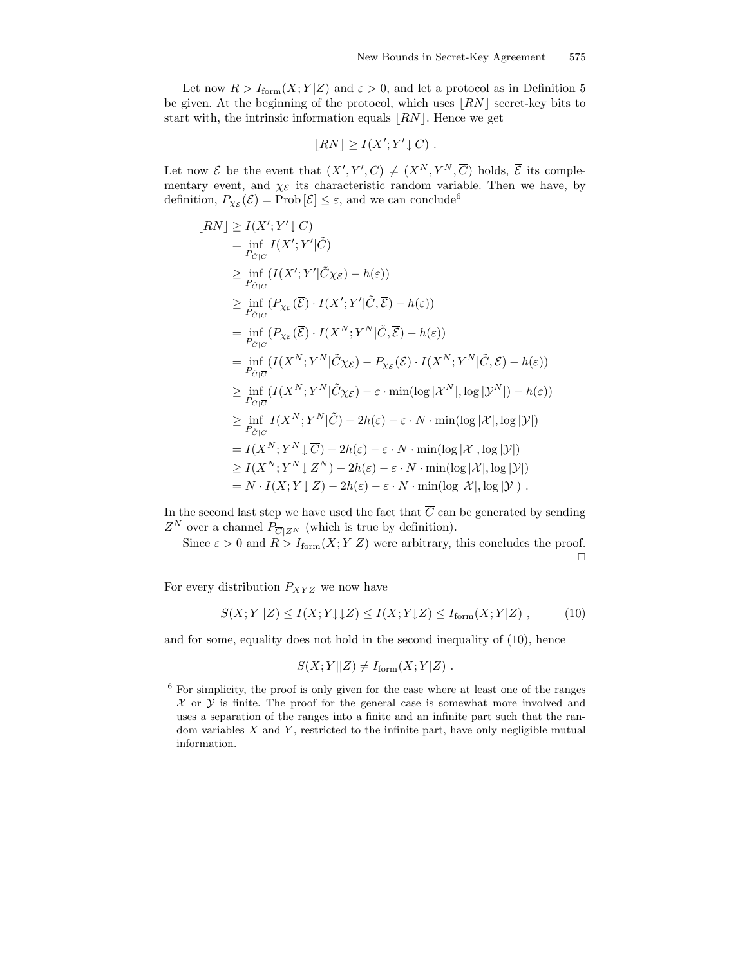Let now  $R > I_{\text{form}}(X;Y|Z)$  and  $\varepsilon > 0$ , and let a protocol as in Definition 5 be given. At the beginning of the protocol, which uses  $|RN|$  secret-key bits to start with, the intrinsic information equals  $\vert RN \vert$ . Hence we get

$$
\lfloor RN \rfloor \ge I(X';Y'\downarrow C) \ .
$$

Let now  $\mathcal E$  be the event that  $(X', Y', C) \neq (X^N, Y^N, \overline{C})$  holds,  $\overline{\mathcal E}$  its complementary event, and  $\chi_{\mathcal{E}}$  its characteristic random variable. Then we have, by definition,  $P_{\chi_{\mathcal{E}}}(\mathcal{E}) = \text{Prob}\left[\mathcal{E}\right] \leq \varepsilon$ , and we can conclude<sup>6</sup>

$$
[RN] \geq I(X';Y' \downarrow C)
$$
  
\n
$$
= \inf_{P_{\tilde{C}|C}} I(X';Y' | \tilde{C})
$$
  
\n
$$
\geq \inf_{P_{\tilde{C}|C}} (I(X';Y' | \tilde{C}\chi_{\mathcal{E}}) - h(\varepsilon))
$$
  
\n
$$
\geq \inf_{P_{\tilde{C}|C}} (P_{\chi_{\mathcal{E}}}(\overline{\mathcal{E}}) \cdot I(X';Y' | \tilde{C}, \overline{\mathcal{E}}) - h(\varepsilon))
$$
  
\n
$$
= \inf_{P_{\tilde{C}|\overline{C}}} (P_{\chi_{\mathcal{E}}}(\overline{\mathcal{E}}) \cdot I(X' ; Y' | \tilde{C}, \overline{\mathcal{E}}) - h(\varepsilon))
$$
  
\n
$$
= \inf_{P_{\tilde{C}|\overline{C}}} (I(X'';Y' | \tilde{C}\chi_{\mathcal{E}}) - P_{\chi_{\mathcal{E}}}(\mathcal{E}) \cdot I(X'';Y' | \tilde{C}, \mathcal{E}) - h(\varepsilon))
$$
  
\n
$$
\geq \inf_{P_{\tilde{C}|\overline{C}}} (I(X'';Y' | \tilde{C}\chi_{\mathcal{E}}) - \varepsilon \cdot \min(\log |\mathcal{X}^N|, \log |\mathcal{Y}^N|) - h(\varepsilon))
$$
  
\n
$$
\geq \inf_{P_{\tilde{C}|\overline{C}}} I(X'';Y' | \tilde{C}) - 2h(\varepsilon) - \varepsilon \cdot N \cdot \min(\log |\mathcal{X}|, \log |\mathcal{Y}|)
$$
  
\n
$$
= I(X'';Y' \downarrow \overline{C}) - 2h(\varepsilon) - \varepsilon \cdot N \cdot \min(\log |\mathcal{X}|, \log |\mathcal{Y}|)
$$
  
\n
$$
\geq I(X'';Y' \downarrow Z'') - 2h(\varepsilon) - \varepsilon \cdot N \cdot \min(\log |\mathcal{X}|, \log |\mathcal{Y}|)
$$
  
\n
$$
= N \cdot I(X;Y \downarrow Z) - 2h(\varepsilon) - \varepsilon \cdot N \cdot \min(\log |\mathcal{X}|, \log |\mathcal{Y}|).
$$

In the second last step we have used the fact that  $\overline{C}$  can be generated by sending  $Z^N$  over a channel  $P_{\overline{C}|Z^N}$  (which is true by definition).

Since  $\varepsilon > 0$  and  $R > I_{\text{form}}(X; Y|Z)$  were arbitrary, this concludes the proof.  $\Box$ 

For every distribution  $P_{XYZ}$  we now have

$$
S(X;Y||Z) \le I(X;Y\downarrow\downarrow Z) \le I(X;Y\downarrow Z) \le I_{\text{form}}(X;Y|Z) ,\qquad (10)
$$

and for some, equality does not hold in the second inequality of (10), hence

$$
S(X;Y||Z) \neq I_{\text{form}}(X;Y|Z) .
$$

 $6$  For simplicity, the proof is only given for the case where at least one of the ranges  $\mathcal X$  or  $\mathcal Y$  is finite. The proof for the general case is somewhat more involved and uses a separation of the ranges into a finite and an infinite part such that the random variables  $X$  and  $Y$ , restricted to the infinite part, have only negligible mutual information.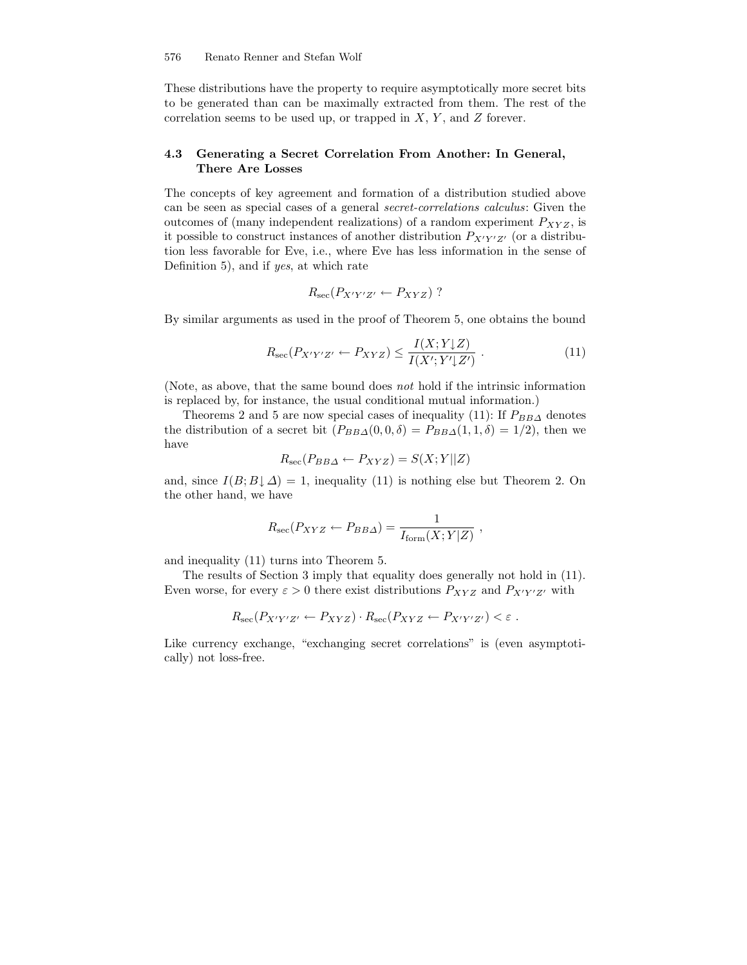These distributions have the property to require asymptotically more secret bits to be generated than can be maximally extracted from them. The rest of the correlation seems to be used up, or trapped in  $X$ ,  $Y$ , and  $Z$  forever.

### 4.3 Generating a Secret Correlation From Another: In General, There Are Losses

The concepts of key agreement and formation of a distribution studied above can be seen as special cases of a general secret-correlations calculus: Given the outcomes of (many independent realizations) of a random experiment  $P_{XYZ}$ , is it possible to construct instances of another distribution  $P_{X'Y'Z'}$  (or a distribution less favorable for Eve, i.e., where Eve has less information in the sense of Definition 5), and if yes, at which rate

$$
R_{\rm sec}(P_{X'Y'Z'} \leftarrow P_{XYZ})
$$
?

By similar arguments as used in the proof of Theorem 5, one obtains the bound

$$
R_{\rm sec}(P_{X'Y'Z'} \leftarrow P_{XYZ}) \le \frac{I(X;Y\downarrow Z)}{I(X';Y'\downarrow Z')} \ . \tag{11}
$$

(Note, as above, that the same bound does not hold if the intrinsic information is replaced by, for instance, the usual conditional mutual information.)

Theorems 2 and 5 are now special cases of inequality (11): If  $P_{BB\Delta}$  denotes the distribution of a secret bit  $(P_{BBA}(0, 0, \delta) = P_{BBA}(1, 1, \delta) = 1/2)$ , then we have

$$
R_{\rm sec}(P_{BB\Delta} \leftarrow P_{XYZ}) = S(X;Y||Z)
$$

and, since  $I(B; B \downarrow \Delta) = 1$ , inequality (11) is nothing else but Theorem 2. On the other hand, we have

$$
R_{\rm sec}(P_{XYZ} \leftarrow P_{BB\Delta}) = \frac{1}{I_{\rm form}(X;Y|Z)},
$$

and inequality (11) turns into Theorem 5.

The results of Section 3 imply that equality does generally not hold in (11). Even worse, for every  $\varepsilon > 0$  there exist distributions  $P_{XYZ}$  and  $P_{X'Y'Z'}$  with

$$
R_{\rm sec}(P_{X'Y'Z'} \leftarrow P_{XYZ}) \cdot R_{\rm sec}(P_{XYZ} \leftarrow P_{X'Y'Z'}) < \varepsilon.
$$

Like currency exchange, "exchanging secret correlations" is (even asymptotically) not loss-free.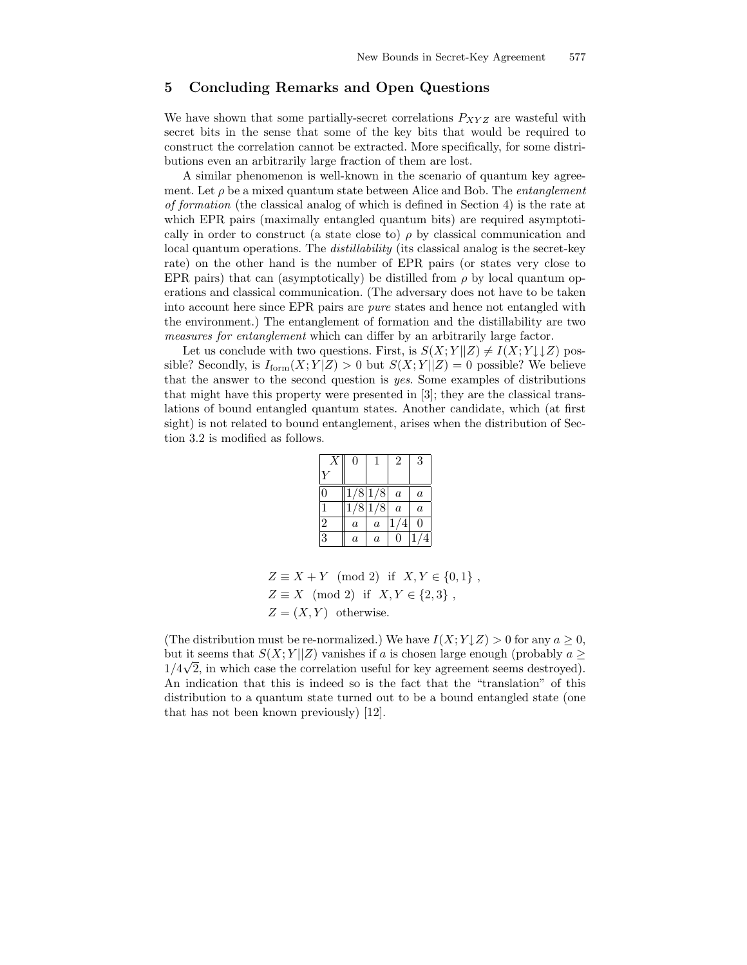# 5 Concluding Remarks and Open Questions

We have shown that some partially-secret correlations  $P_{XYZ}$  are wasteful with secret bits in the sense that some of the key bits that would be required to construct the correlation cannot be extracted. More specifically, for some distributions even an arbitrarily large fraction of them are lost.

A similar phenomenon is well-known in the scenario of quantum key agreement. Let  $\rho$  be a mixed quantum state between Alice and Bob. The *entanglement* of formation (the classical analog of which is defined in Section 4) is the rate at which EPR pairs (maximally entangled quantum bits) are required asymptotically in order to construct (a state close to)  $\rho$  by classical communication and local quantum operations. The *distillability* (its classical analog is the secret-key rate) on the other hand is the number of EPR pairs (or states very close to EPR pairs) that can (asymptotically) be distilled from  $\rho$  by local quantum operations and classical communication. (The adversary does not have to be taken into account here since EPR pairs are pure states and hence not entangled with the environment.) The entanglement of formation and the distillability are two measures for entanglement which can differ by an arbitrarily large factor.

Let us conclude with two questions. First, is  $S(X; Y||Z) \neq I(X; Y \downarrow Z)$  possible? Secondly, is  $I_{\text{form}}(X;Y|Z) > 0$  but  $S(X;Y||Z) = 0$  possible? We believe that the answer to the second question is yes. Some examples of distributions that might have this property were presented in [3]; they are the classical translations of bound entangled quantum states. Another candidate, which (at first sight) is not related to bound entanglement, arises when the distribution of Section 3.2 is modified as follows.

|   | 0                | I                 | 2                | 3                |
|---|------------------|-------------------|------------------|------------------|
| Ó |                  | $\frac{1}{8}$ 1/8 | $\boldsymbol{a}$ | $\boldsymbol{a}$ |
|   |                  | 8 1/8             | $\boldsymbol{a}$ | $\boldsymbol{a}$ |
| 2 | $\boldsymbol{a}$ | $\boldsymbol{a}$  |                  |                  |
| 3 | $\boldsymbol{a}$ | $\boldsymbol{a}$  |                  |                  |

 $Z \equiv X + Y \pmod{2}$  if  $X, Y \in \{0, 1\}$ ,  $Z \equiv X \pmod{2}$  if  $X, Y \in \{2, 3\}$ ,  $Z = (X, Y)$  otherwise.

(The distribution must be re-normalized.) We have  $I(X; Y | Z) > 0$  for any  $a > 0$ , but it seems that  $S(X;Y||Z)$  vanishes if a is chosen large enough (probably  $a \geq$  $1/4\sqrt{2}$ , in which case the correlation useful for key agreement seems destroyed). An indication that this is indeed so is the fact that the "translation" of this distribution to a quantum state turned out to be a bound entangled state (one that has not been known previously) [12].